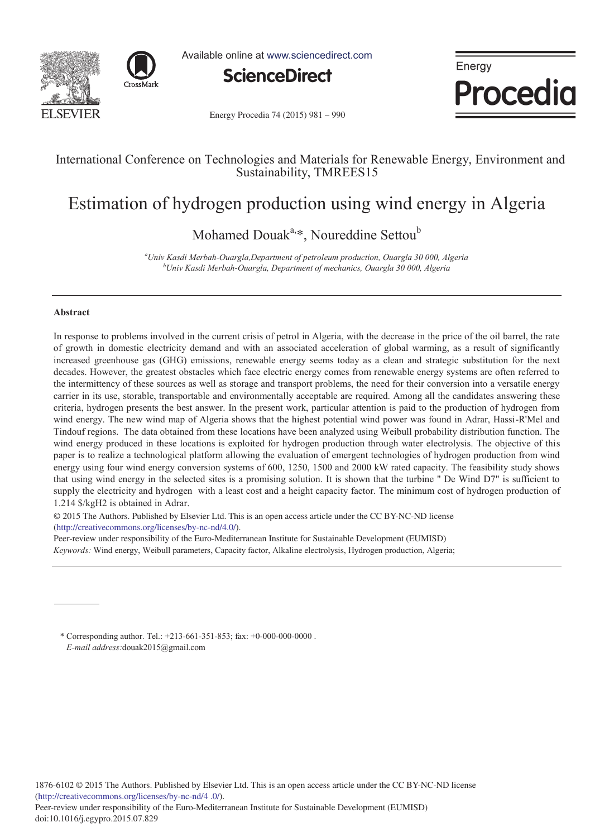



Available online at www.sciencedirect.com



Energy Procedia

Energy Procedia 74 (2015) 981 - 990

### International Conference on Technologies and Materials for Renewable Energy, Environment and Sustainability, TMREES15

## Estimation of hydrogen production using wind energy in Algeria

Mohamed Douak<sup>a,\*</sup>, Noureddine Settou<sup>b</sup>

*a Univ Kasdi Merbah-Ouargla,Department of petroleum production, Ouargla 30 000, Algeria b Univ Kasdi Merbah-Ouargla, Department of mechanics, Ouargla 30 000, Algeria* 

#### **Abstract**

doi: 10.1016/j.egypro.2015.07.829

In response to problems involved in the current crisis of petrol in Algeria, with the decrease in the price of the oil barrel, the rate of growth in domestic electricity demand and with an associated acceleration of global warming, as a result of significantly increased greenhouse gas (GHG) emissions, renewable energy seems today as a clean and strategic substitution for the next decades. However, the greatest obstacles which face electric energy comes from renewable energy systems are often referred to the intermittency of these sources as well as storage and transport problems, the need for their conversion into a versatile energy carrier in its use, storable, transportable and environmentally acceptable are required. Among all the candidates answering these criteria, hydrogen presents the best answer. In the present work, particular attention is paid to the production of hydrogen from wind energy. The new wind map of Algeria shows that the highest potential wind power was found in Adrar, Hassi-R'Mel and Tindouf regions. The data obtained from these locations have been analyzed using Weibull probability distribution function. The wind energy produced in these locations is exploited for hydrogen production through water electrolysis. The objective of this paper is to realize a technological platform allowing the evaluation of emergent technologies of hydrogen production from wind energy using four wind energy conversion systems of 600, 1250, 1500 and 2000 kW rated capacity. The feasibility study shows that using wind energy in the selected sites is a promising solution. It is shown that the turbine " De Wind D7" is sufficient to supply the electricity and hydrogen with a least cost and a height capacity factor. The minimum cost of hydrogen production of 1.214 \$/kgH2 is obtained in Adrar.

© 2015 The Authors. Published by Elsevier Ltd. © 2015 The Authors. Published by Elsevier Ltd. This is an open access article under the CC BY-NC-ND license Peer-review under responsibility of the Euro-Mediterranean Institute for Sustainable Development (EUMISD). (http://creativecommons.org/licenses/by-nc-nd/4.0/).

*Keywords:* Wind energy, Weibull parameters, Capacity factor, Alkaline electrolysis, Hydrogen production, Algeria; Peer-review under responsibility of the Euro-Mediterranean Institute for Sustainable Development (EUMISD)

\* Corresponding author. Tel.: +213-661-351-853; fax: +0-000-000-0000 . *E-mail address:*douak2015@gmail.com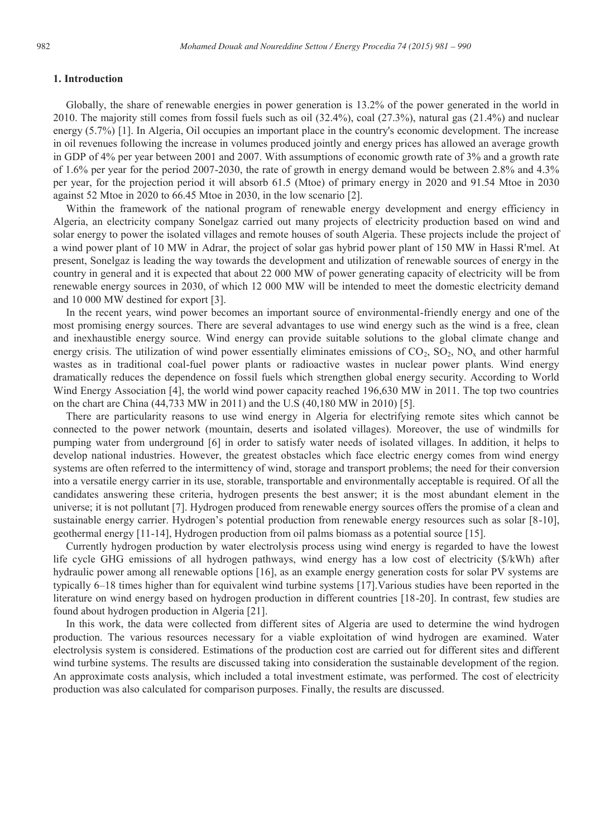#### **1. Introduction**

Globally, the share of renewable energies in power generation is 13.2% of the power generated in the world in 2010. The majority still comes from fossil fuels such as oil (32.4%), coal (27.3%), natural gas (21.4%) and nuclear energy (5.7%) [1]. In Algeria, Oil occupies an important place in the country's economic development. The increase in oil revenues following the increase in volumes produced jointly and energy prices has allowed an average growth in GDP of 4% per year between 2001 and 2007. With assumptions of economic growth rate of 3% and a growth rate of 1.6% per year for the period 2007-2030, the rate of growth in energy demand would be between 2.8% and 4.3% per year, for the projection period it will absorb 61.5 (Mtoe) of primary energy in 2020 and 91.54 Mtoe in 2030 against 52 Mtoe in 2020 to 66.45 Mtoe in 2030, in the low scenario [2].

Within the framework of the national program of renewable energy development and energy efficiency in Algeria, an electricity company Sonelgaz carried out many projects of electricity production based on wind and solar energy to power the isolated villages and remote houses of south Algeria. These projects include the project of a wind power plant of 10 MW in Adrar, the project of solar gas hybrid power plant of 150 MW in Hassi R'mel. At present, Sonelgaz is leading the way towards the development and utilization of renewable sources of energy in the country in general and it is expected that about 22 000 MW of power generating capacity of electricity will be from renewable energy sources in 2030, of which 12 000 MW will be intended to meet the domestic electricity demand and 10 000 MW destined for export [3].

In the recent years, wind power becomes an important source of environmental-friendly energy and one of the most promising energy sources. There are several advantages to use wind energy such as the wind is a free, clean and inexhaustible energy source. Wind energy can provide suitable solutions to the global climate change and energy crisis. The utilization of wind power essentially eliminates emissions of  $CO_2$ ,  $SO_2$ ,  $NO_x$  and other harmful wastes as in traditional coal-fuel power plants or radioactive wastes in nuclear power plants. Wind energy dramatically reduces the dependence on fossil fuels which strengthen global energy security. According to World Wind Energy Association [4], the world wind power capacity reached 196,630 MW in 2011. The top two countries on the chart are China (44,733 MW in 2011) and the U.S (40,180 MW in 2010) [5].

There are particularity reasons to use wind energy in Algeria for electrifying remote sites which cannot be connected to the power network (mountain, deserts and isolated villages). Moreover, the use of windmills for pumping water from underground [6] in order to satisfy water needs of isolated villages. In addition, it helps to develop national industries. However, the greatest obstacles which face electric energy comes from wind energy systems are often referred to the intermittency of wind, storage and transport problems; the need for their conversion into a versatile energy carrier in its use, storable, transportable and environmentally acceptable is required. Of all the candidates answering these criteria, hydrogen presents the best answer; it is the most abundant element in the universe; it is not pollutant [7]. Hydrogen produced from renewable energy sources offers the promise of a clean and sustainable energy carrier. Hydrogen's potential production from renewable energy resources such as solar [8-10], geothermal energy [11-14], Hydrogen production from oil palms biomass as a potential source [15].

Currently hydrogen production by water electrolysis process using wind energy is regarded to have the lowest life cycle GHG emissions of all hydrogen pathways, wind energy has a low cost of electricity (\$/kWh) after hydraulic power among all renewable options [16], as an example energy generation costs for solar PV systems are typically 6–18 times higher than for equivalent wind turbine systems [17].Various studies have been reported in the literature on wind energy based on hydrogen production in different countries [18-20]. In contrast, few studies are found about hydrogen production in Algeria [21].

In this work, the data were collected from different sites of Algeria are used to determine the wind hydrogen production. The various resources necessary for a viable exploitation of wind hydrogen are examined. Water electrolysis system is considered. Estimations of the production cost are carried out for different sites and different wind turbine systems. The results are discussed taking into consideration the sustainable development of the region. An approximate costs analysis, which included a total investment estimate, was performed. The cost of electricity production was also calculated for comparison purposes. Finally, the results are discussed.